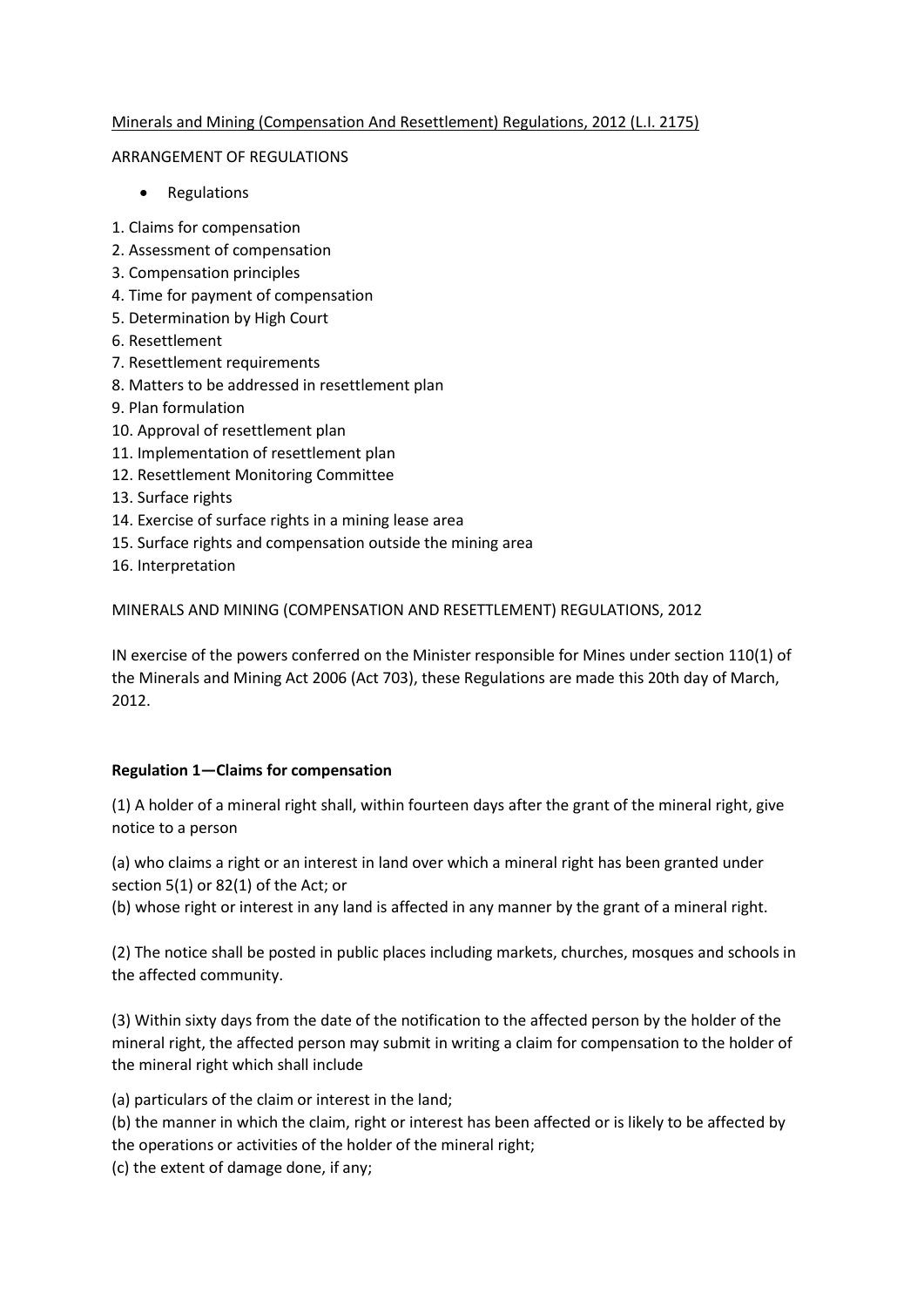# Minerals and Mining (Compensation And Resettlement) Regulations, 2012 (L.I. 2175)

## ARRANGEMENT OF REGULATIONS

- Regulations
- 1. Claims for compensation
- 2. Assessment of compensation
- 3. Compensation principles
- 4. Time for payment of compensation
- 5. Determination by High Court
- 6. Resettlement
- 7. Resettlement requirements
- 8. Matters to be addressed in resettlement plan
- 9. Plan formulation
- 10. Approval of resettlement plan
- 11. Implementation of resettlement plan
- 12. Resettlement Monitoring Committee
- 13. Surface rights
- 14. Exercise of surface rights in a mining lease area
- 15. Surface rights and compensation outside the mining area
- 16. Interpretation

# MINERALS AND MINING (COMPENSATION AND RESETTLEMENT) REGULATIONS, 2012

IN exercise of the powers conferred on the Minister responsible for Mines under section 110(1) of the Minerals and Mining Act 2006 (Act 703), these Regulations are made this 20th day of March, 2012.

## **Regulation 1—Claims for compensation**

(1) A holder of a mineral right shall, within fourteen days after the grant of the mineral right, give notice to a person

(a) who claims a right or an interest in land over which a mineral right has been granted under section 5(1) or 82(1) of the Act; or

(b) whose right or interest in any land is affected in any manner by the grant of a mineral right.

(2) The notice shall be posted in public places including markets, churches, mosques and schools in the affected community.

(3) Within sixty days from the date of the notification to the affected person by the holder of the mineral right, the affected person may submit in writing a claim for compensation to the holder of the mineral right which shall include

(a) particulars of the claim or interest in the land;

(b) the manner in which the claim, right or interest has been affected or is likely to be affected by the operations or activities of the holder of the mineral right;

(c) the extent of damage done, if any;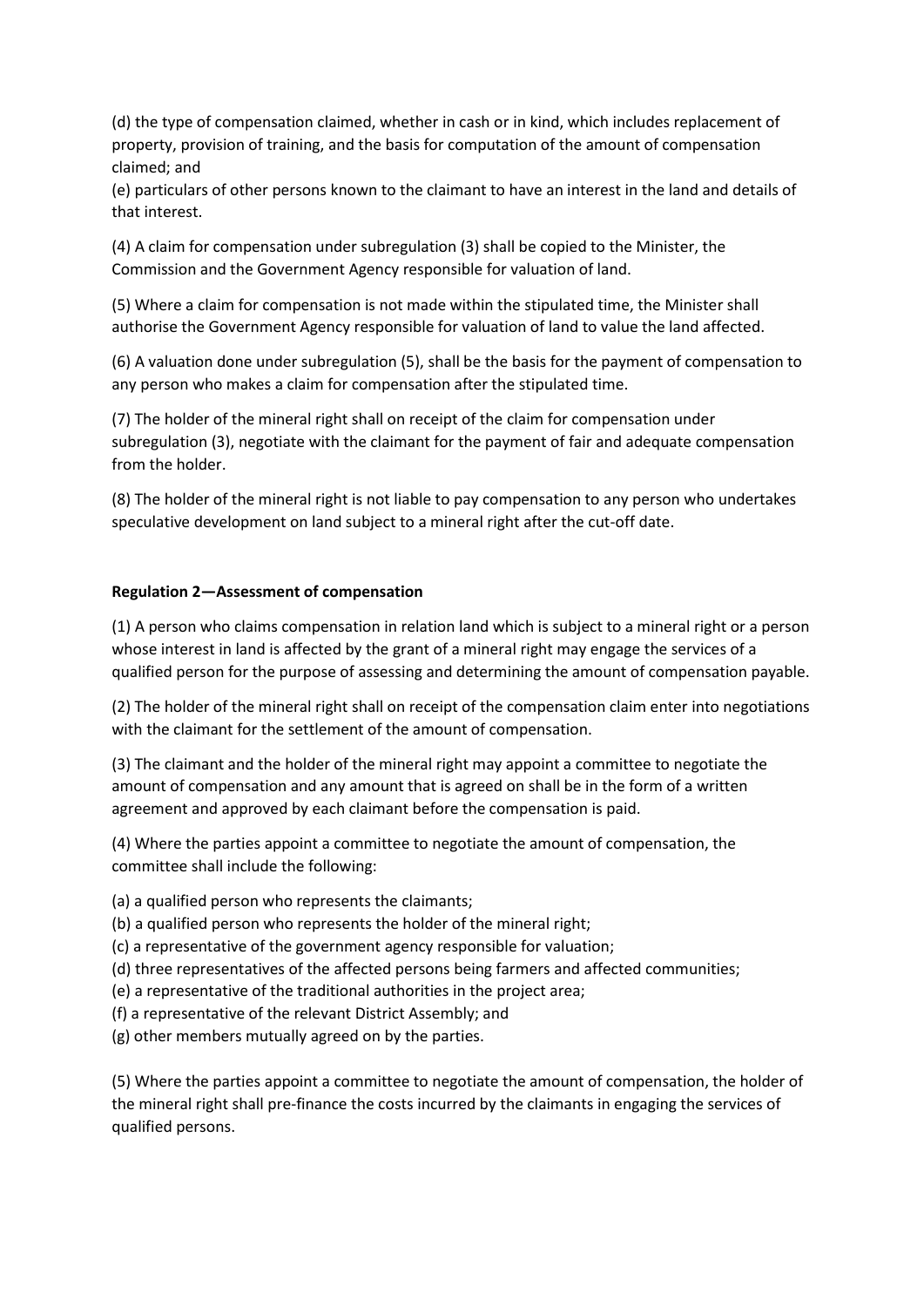(d) the type of compensation claimed, whether in cash or in kind, which includes replacement of property, provision of training, and the basis for computation of the amount of compensation claimed; and

(e) particulars of other persons known to the claimant to have an interest in the land and details of that interest.

(4) A claim for compensation under subregulation (3) shall be copied to the Minister, the Commission and the Government Agency responsible for valuation of land.

(5) Where a claim for compensation is not made within the stipulated time, the Minister shall authorise the Government Agency responsible for valuation of land to value the land affected.

(6) A valuation done under subregulation (5), shall be the basis for the payment of compensation to any person who makes a claim for compensation after the stipulated time.

(7) The holder of the mineral right shall on receipt of the claim for compensation under subregulation (3), negotiate with the claimant for the payment of fair and adequate compensation from the holder.

(8) The holder of the mineral right is not liable to pay compensation to any person who undertakes speculative development on land subject to a mineral right after the cut-off date.

#### **Regulation 2—Assessment of compensation**

(1) A person who claims compensation in relation land which is subject to a mineral right or a person whose interest in land is affected by the grant of a mineral right may engage the services of a qualified person for the purpose of assessing and determining the amount of compensation payable.

(2) The holder of the mineral right shall on receipt of the compensation claim enter into negotiations with the claimant for the settlement of the amount of compensation.

(3) The claimant and the holder of the mineral right may appoint a committee to negotiate the amount of compensation and any amount that is agreed on shall be in the form of a written agreement and approved by each claimant before the compensation is paid.

(4) Where the parties appoint a committee to negotiate the amount of compensation, the committee shall include the following:

(a) a qualified person who represents the claimants;

(b) a qualified person who represents the holder of the mineral right;

- (c) a representative of the government agency responsible for valuation;
- (d) three representatives of the affected persons being farmers and affected communities;
- (e) a representative of the traditional authorities in the project area;
- (f) a representative of the relevant District Assembly; and
- (g) other members mutually agreed on by the parties.

(5) Where the parties appoint a committee to negotiate the amount of compensation, the holder of the mineral right shall pre-finance the costs incurred by the claimants in engaging the services of qualified persons.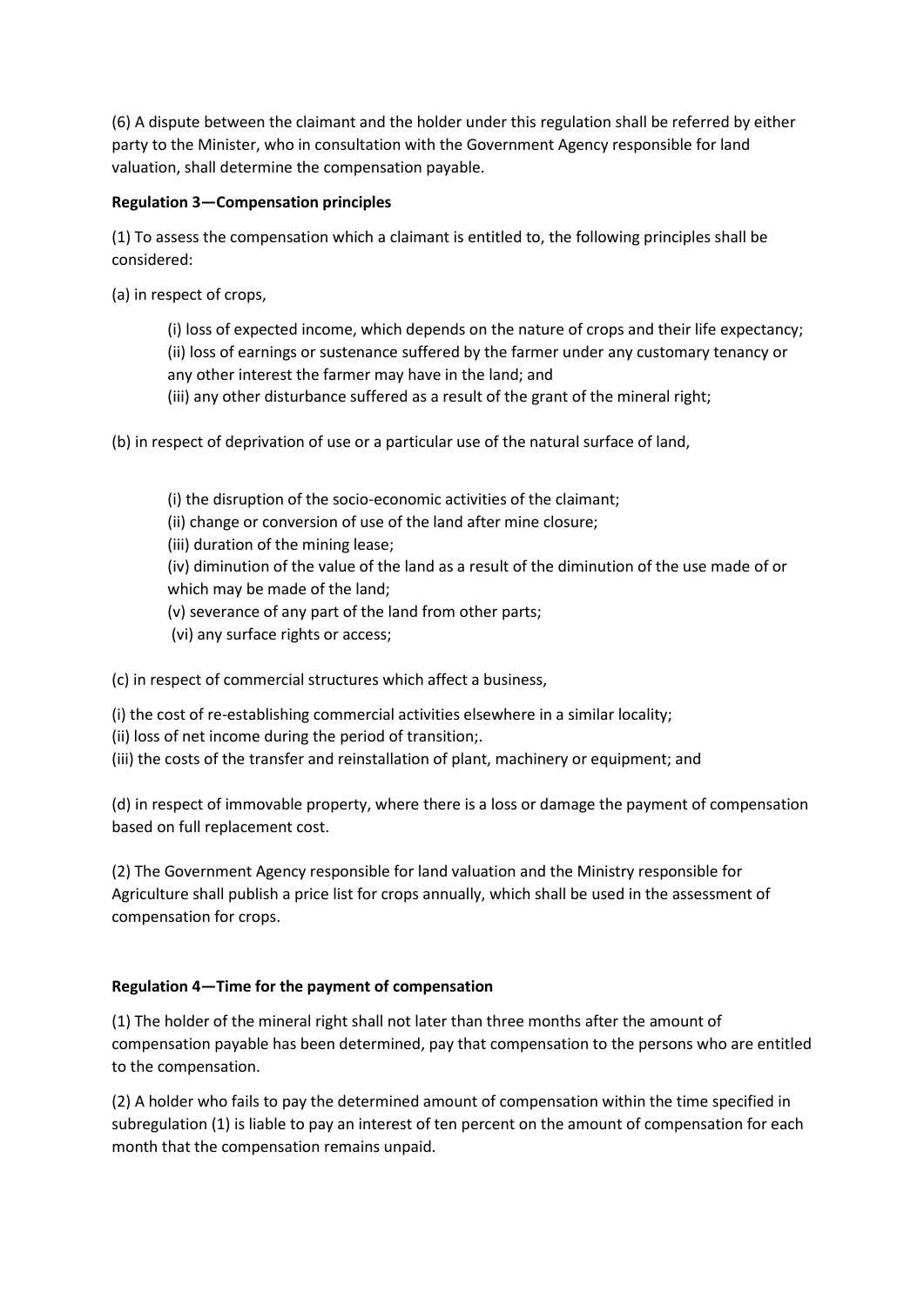(6) A dispute between the claimant and the holder under this regulation shall be referred by either party to the Minister, who in consultation with the Government Agency responsible for land valuation, shall determine the compensation payable.

# **Regulation 3—Compensation principles**

(1) To assess the compensation which a claimant is entitled to, the following principles shall be considered:

(a) in respect of crops,

(i) loss of expected income, which depends on the nature of crops and their life expectancy; (ii) loss of earnings or sustenance suffered by the farmer under any customary tenancy or any other interest the farmer may have in the land; and

(iii) any other disturbance suffered as a result of the grant of the mineral right;

(b) in respect of deprivation of use or a particular use of the natural surface of land,

(i) the disruption of the socio-economic activities of the claimant; (ii) change or conversion of use of the land after mine closure;

(iii) duration of the mining lease;

(iv) diminution of the value of the land as a result of the diminution of the use made of or which may be made of the land;

(v) severance of any part of the land from other parts;

(vi) any surface rights or access;

(c) in respect of commercial structures which affect a business,

(i) the cost of re-establishing commercial activities elsewhere in a similar locality;

(ii) loss of net income during the period of transition;.

(iii) the costs of the transfer and reinstallation of plant, machinery or equipment; and

(d) in respect of immovable property, where there is a loss or damage the payment of compensation based on full replacement cost.

(2) The Government Agency responsible for land valuation and the Ministry responsible for Agriculture shall publish a price list for crops annually, which shall be used in the assessment of compensation for crops.

# **Regulation 4—Time for the payment of compensation**

(1) The holder of the mineral right shall not later than three months after the amount of compensation payable has been determined, pay that compensation to the persons who are entitled to the compensation.

(2) A holder who fails to pay the determined amount of compensation within the time specified in subregulation (1) is liable to pay an interest of ten percent on the amount of compensation for each month that the compensation remains unpaid.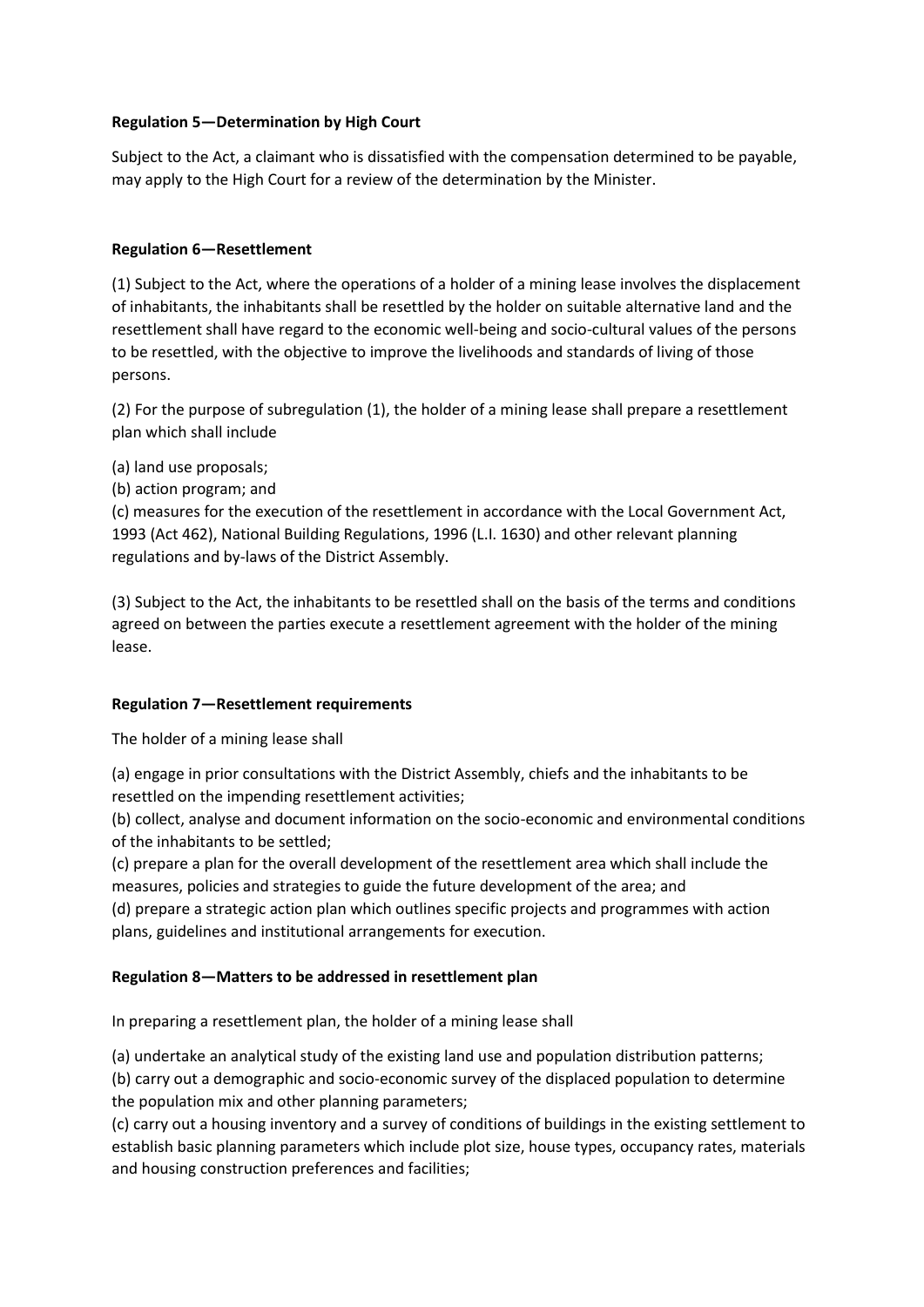# **Regulation 5—Determination by High Court**

Subject to the Act, a claimant who is dissatisfied with the compensation determined to be payable, may apply to the High Court for a review of the determination by the Minister.

# **Regulation 6—Resettlement**

(1) Subject to the Act, where the operations of a holder of a mining lease involves the displacement of inhabitants, the inhabitants shall be resettled by the holder on suitable alternative land and the resettlement shall have regard to the economic well-being and socio-cultural values of the persons to be resettled, with the objective to improve the livelihoods and standards of living of those persons.

(2) For the purpose of subregulation (1), the holder of a mining lease shall prepare a resettlement plan which shall include

(a) land use proposals;

(b) action program; and

(c) measures for the execution of the resettlement in accordance with the Local Government Act, 1993 (Act 462), National Building Regulations, 1996 (L.I. 1630) and other relevant planning regulations and by-laws of the District Assembly.

(3) Subject to the Act, the inhabitants to be resettled shall on the basis of the terms and conditions agreed on between the parties execute a resettlement agreement with the holder of the mining lease.

## **Regulation 7—Resettlement requirements**

The holder of a mining lease shall

(a) engage in prior consultations with the District Assembly, chiefs and the inhabitants to be resettled on the impending resettlement activities;

(b) collect, analyse and document information on the socio-economic and environmental conditions of the inhabitants to be settled;

(c) prepare a plan for the overall development of the resettlement area which shall include the measures, policies and strategies to guide the future development of the area; and

(d) prepare a strategic action plan which outlines specific projects and programmes with action plans, guidelines and institutional arrangements for execution.

# **Regulation 8—Matters to be addressed in resettlement plan**

In preparing a resettlement plan, the holder of a mining lease shall

(a) undertake an analytical study of the existing land use and population distribution patterns;

(b) carry out a demographic and socio-economic survey of the displaced population to determine the population mix and other planning parameters;

(c) carry out a housing inventory and a survey of conditions of buildings in the existing settlement to establish basic planning parameters which include plot size, house types, occupancy rates, materials and housing construction preferences and facilities;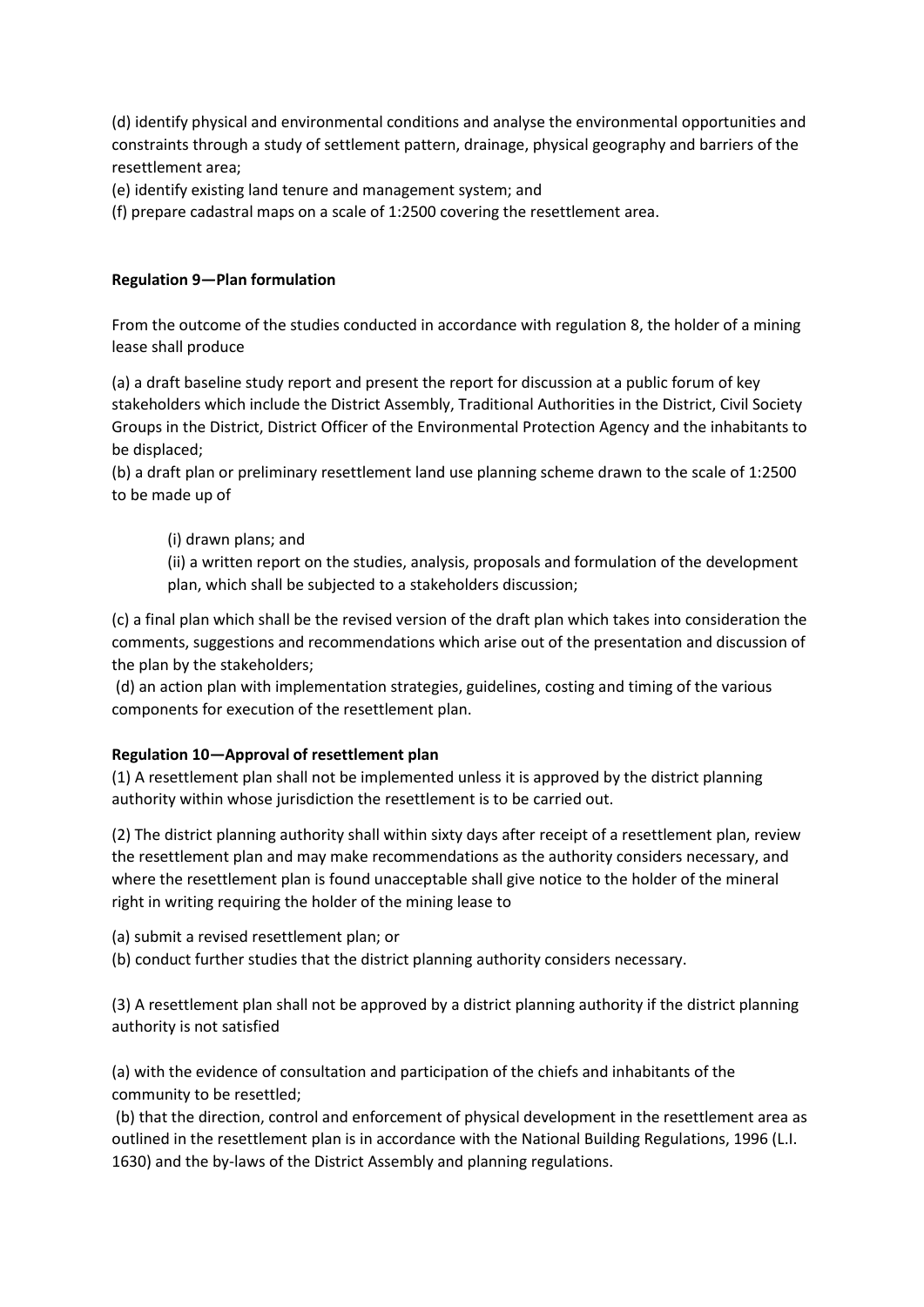(d) identify physical and environmental conditions and analyse the environmental opportunities and constraints through a study of settlement pattern, drainage, physical geography and barriers of the resettlement area;

(e) identify existing land tenure and management system; and

(f) prepare cadastral maps on a scale of 1:2500 covering the resettlement area.

## **Regulation 9—Plan formulation**

From the outcome of the studies conducted in accordance with regulation 8, the holder of a mining lease shall produce

(a) a draft baseline study report and present the report for discussion at a public forum of key stakeholders which include the District Assembly, Traditional Authorities in the District, Civil Society Groups in the District, District Officer of the Environmental Protection Agency and the inhabitants to be displaced;

(b) a draft plan or preliminary resettlement land use planning scheme drawn to the scale of 1:2500 to be made up of

# (i) drawn plans; and

(ii) a written report on the studies, analysis, proposals and formulation of the development plan, which shall be subjected to a stakeholders discussion;

(c) a final plan which shall be the revised version of the draft plan which takes into consideration the comments, suggestions and recommendations which arise out of the presentation and discussion of the plan by the stakeholders;

(d) an action plan with implementation strategies, guidelines, costing and timing of the various components for execution of the resettlement plan.

## **Regulation 10—Approval of resettlement plan**

(1) A resettlement plan shall not be implemented unless it is approved by the district planning authority within whose jurisdiction the resettlement is to be carried out.

(2) The district planning authority shall within sixty days after receipt of a resettlement plan, review the resettlement plan and may make recommendations as the authority considers necessary, and where the resettlement plan is found unacceptable shall give notice to the holder of the mineral right in writing requiring the holder of the mining lease to

(a) submit a revised resettlement plan; or

(b) conduct further studies that the district planning authority considers necessary.

(3) A resettlement plan shall not be approved by a district planning authority if the district planning authority is not satisfied

(a) with the evidence of consultation and participation of the chiefs and inhabitants of the community to be resettled;

(b) that the direction, control and enforcement of physical development in the resettlement area as outlined in the resettlement plan is in accordance with the National Building Regulations, 1996 (L.I. 1630) and the by-laws of the District Assembly and planning regulations.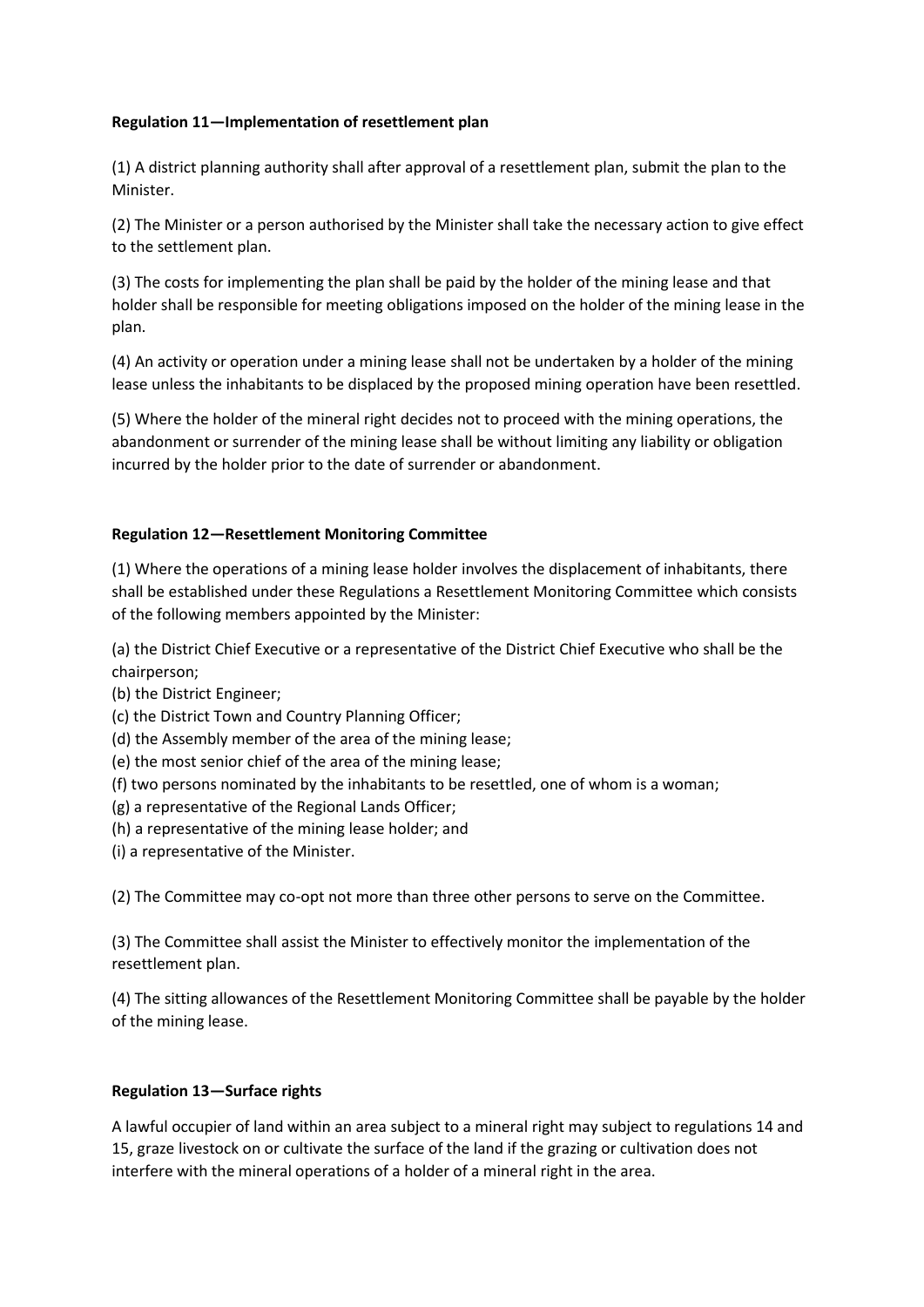# **Regulation 11—Implementation of resettlement plan**

(1) A district planning authority shall after approval of a resettlement plan, submit the plan to the Minister.

(2) The Minister or a person authorised by the Minister shall take the necessary action to give effect to the settlement plan.

(3) The costs for implementing the plan shall be paid by the holder of the mining lease and that holder shall be responsible for meeting obligations imposed on the holder of the mining lease in the plan.

(4) An activity or operation under a mining lease shall not be undertaken by a holder of the mining lease unless the inhabitants to be displaced by the proposed mining operation have been resettled.

(5) Where the holder of the mineral right decides not to proceed with the mining operations, the abandonment or surrender of the mining lease shall be without limiting any liability or obligation incurred by the holder prior to the date of surrender or abandonment.

## **Regulation 12—Resettlement Monitoring Committee**

(1) Where the operations of a mining lease holder involves the displacement of inhabitants, there shall be established under these Regulations a Resettlement Monitoring Committee which consists of the following members appointed by the Minister:

(a) the District Chief Executive or a representative of the District Chief Executive who shall be the chairperson;

- (b) the District Engineer;
- (c) the District Town and Country Planning Officer;
- (d) the Assembly member of the area of the mining lease;
- (e) the most senior chief of the area of the mining lease;
- (f) two persons nominated by the inhabitants to be resettled, one of whom is a woman;
- (g) a representative of the Regional Lands Officer;
- (h) a representative of the mining lease holder; and
- (i) a representative of the Minister.

(2) The Committee may co-opt not more than three other persons to serve on the Committee.

(3) The Committee shall assist the Minister to effectively monitor the implementation of the resettlement plan.

(4) The sitting allowances of the Resettlement Monitoring Committee shall be payable by the holder of the mining lease.

## **Regulation 13—Surface rights**

A lawful occupier of land within an area subject to a mineral right may subject to regulations 14 and 15, graze livestock on or cultivate the surface of the land if the grazing or cultivation does not interfere with the mineral operations of a holder of a mineral right in the area.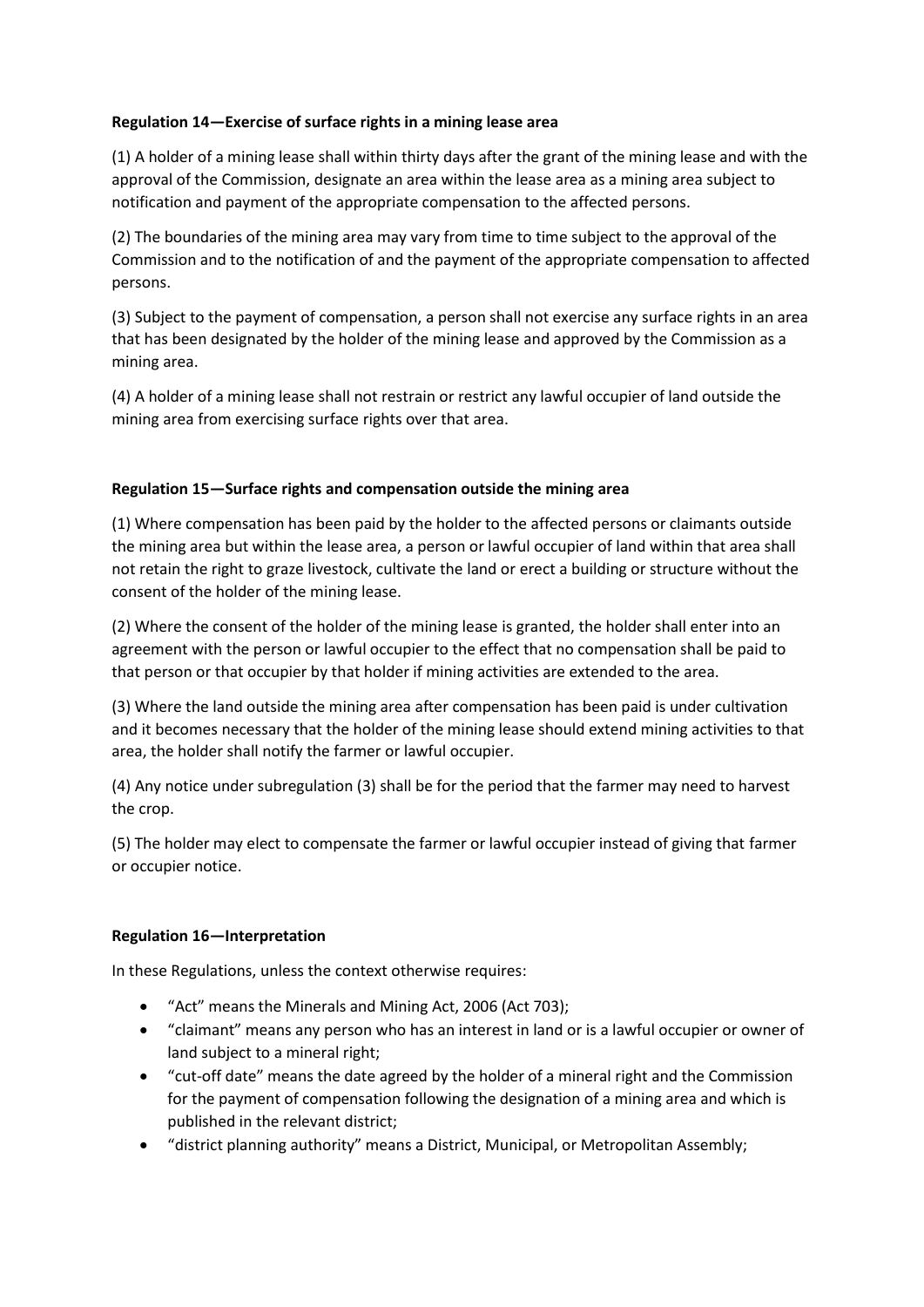# **Regulation 14—Exercise of surface rights in a mining lease area**

(1) A holder of a mining lease shall within thirty days after the grant of the mining lease and with the approval of the Commission, designate an area within the lease area as a mining area subject to notification and payment of the appropriate compensation to the affected persons.

(2) The boundaries of the mining area may vary from time to time subject to the approval of the Commission and to the notification of and the payment of the appropriate compensation to affected persons.

(3) Subject to the payment of compensation, a person shall not exercise any surface rights in an area that has been designated by the holder of the mining lease and approved by the Commission as a mining area.

(4) A holder of a mining lease shall not restrain or restrict any lawful occupier of land outside the mining area from exercising surface rights over that area.

# **Regulation 15—Surface rights and compensation outside the mining area**

(1) Where compensation has been paid by the holder to the affected persons or claimants outside the mining area but within the lease area, a person or lawful occupier of land within that area shall not retain the right to graze livestock, cultivate the land or erect a building or structure without the consent of the holder of the mining lease.

(2) Where the consent of the holder of the mining lease is granted, the holder shall enter into an agreement with the person or lawful occupier to the effect that no compensation shall be paid to that person or that occupier by that holder if mining activities are extended to the area.

(3) Where the land outside the mining area after compensation has been paid is under cultivation and it becomes necessary that the holder of the mining lease should extend mining activities to that area, the holder shall notify the farmer or lawful occupier.

(4) Any notice under subregulation (3) shall be for the period that the farmer may need to harvest the crop.

(5) The holder may elect to compensate the farmer or lawful occupier instead of giving that farmer or occupier notice.

## **Regulation 16—Interpretation**

In these Regulations, unless the context otherwise requires:

- "Act" means the Minerals and Mining Act, 2006 (Act 703);
- "claimant" means any person who has an interest in land or is a lawful occupier or owner of land subject to a mineral right;
- "cut-off date" means the date agreed by the holder of a mineral right and the Commission for the payment of compensation following the designation of a mining area and which is published in the relevant district;
- "district planning authority" means a District, Municipal, or Metropolitan Assembly;